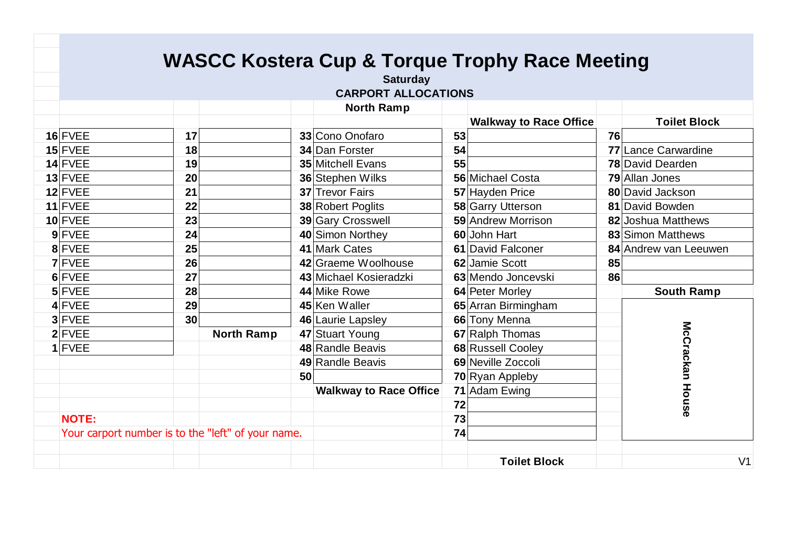|                                                    |    |                   |    | <b>WASCC Kostera Cup &amp; Torque Trophy Race Meeting</b> |    |                               |    |                          |
|----------------------------------------------------|----|-------------------|----|-----------------------------------------------------------|----|-------------------------------|----|--------------------------|
|                                                    |    |                   |    | <b>Saturday</b>                                           |    |                               |    |                          |
|                                                    |    |                   |    | <b>CARPORT ALLOCATIONS</b>                                |    |                               |    |                          |
|                                                    |    |                   |    | <b>North Ramp</b>                                         |    |                               |    |                          |
|                                                    |    |                   |    |                                                           |    | <b>Walkway to Race Office</b> |    | <b>Toilet Block</b>      |
| 16 FVEE                                            | 17 |                   |    | 33 Cono Onofaro                                           | 53 |                               | 76 |                          |
| $15$ FVEE                                          | 18 |                   |    | 34 Dan Forster                                            | 54 |                               |    | 77 Lance Carwardine      |
| 14 FVEE                                            | 19 |                   |    | <b>35 Mitchell Evans</b>                                  | 55 |                               |    | <b>78 David Dearden</b>  |
| $13$ FVEE                                          | 20 |                   |    | 36 Stephen Wilks                                          |    | 56 Michael Costa              |    | <b>79</b> Allan Jones    |
| 12 FVEE                                            | 21 |                   |    | 37 Trevor Fairs                                           |    | 57 Hayden Price               |    | 80 David Jackson         |
| $11$ FVEE                                          | 22 |                   |    | 38 Robert Poglits                                         |    | 58 Garry Utterson             |    | 81 David Bowden          |
| 10 FVEE                                            | 23 |                   |    | 39 Gary Crosswell                                         |    | 59 Andrew Morrison            |    | 82 Joshua Matthews       |
| 9 FVEE                                             | 24 |                   |    | 40 Simon Northey                                          |    | 60 John Hart                  |    | <b>83</b> Simon Matthews |
| 8 FVEE                                             | 25 |                   |    | 41 Mark Cates                                             |    | 61 David Falconer             |    | 84 Andrew van Leeuwen    |
| <b>7 FVEE</b>                                      | 26 |                   |    | 42 Graeme Woolhouse                                       |    | 62 Jamie Scott                | 85 |                          |
| 6 FVEE                                             | 27 |                   |    | 43 Michael Kosieradzki                                    |    | 63 Mendo Joncevski            | 86 |                          |
| 5 FVEE                                             | 28 |                   |    | 44 Mike Rowe                                              |    | 64 Peter Morley               |    | <b>South Ramp</b>        |
| 4 FVEE                                             | 29 |                   |    | 45 Ken Waller                                             |    | 65 Arran Birmingham           |    |                          |
| 3 FVEE                                             | 30 |                   |    | 46 Laurie Lapsley                                         |    | 66 Tony Menna                 |    |                          |
| $2$ FVEE                                           |    | <b>North Ramp</b> |    | 47 Stuart Young                                           |    | 67 Ralph Thomas               |    |                          |
| $1$ FVEE                                           |    |                   |    | 48 Randle Beavis                                          |    | 68 Russell Cooley             |    |                          |
|                                                    |    |                   |    | 49 Randle Beavis                                          |    | 69 Neville Zoccoli            |    |                          |
|                                                    |    |                   | 50 |                                                           |    | 70 Ryan Appleby               |    |                          |
|                                                    |    |                   |    | <b>Walkway to Race Office</b>                             |    | 71 Adam Ewing                 |    |                          |
|                                                    |    |                   |    |                                                           | 72 |                               |    | McCrackan House          |
| <b>NOTE:</b>                                       |    |                   |    |                                                           | 73 |                               |    |                          |
| Your carport number is to the "left" of your name. |    |                   |    |                                                           | 74 |                               |    |                          |
|                                                    |    |                   |    |                                                           |    |                               |    |                          |
|                                                    |    |                   |    |                                                           |    | <b>Toilet Block</b>           |    | V <sub>1</sub>           |